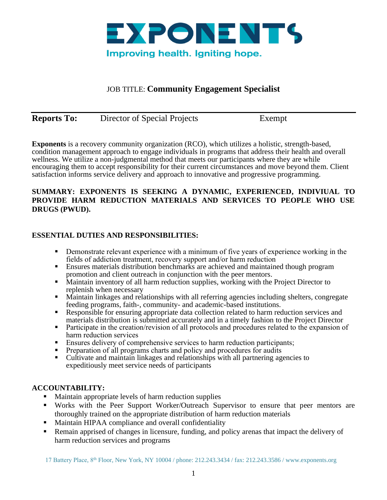

# JOB TITLE: **Community Engagement Specialist**

| <b>Reports To:</b> | Director of Special Projects | Exempt |
|--------------------|------------------------------|--------|
|                    |                              |        |

**Exponents** is a recovery community organization (RCO), which utilizes a holistic, strength-based, condition management approach to engage individuals in programs that address their health and overall wellness. We utilize a non-judgmental method that meets our participants where they are while encouraging them to accept responsibility for their current circumstances and move beyond them. Client satisfaction informs service delivery and approach to innovative and progressive programming.

#### **SUMMARY: EXPONENTS IS SEEKING A DYNAMIC, EXPERIENCED, INDIVIUAL TO PROVIDE HARM REDUCTION MATERIALS AND SERVICES TO PEOPLE WHO USE DRUGS (PWUD).**

## **ESSENTIAL DUTIES AND RESPONSIBILITIES:**

- Demonstrate relevant experience with a minimum of five years of experience working in the fields of addiction treatment, recovery support and/or harm reduction
- Ensures materials distribution benchmarks are achieved and maintained though program promotion and client outreach in conjunction with the peer mentors.
- **EXECUTE:** Maintain inventory of all harm reduction supplies, working with the Project Director to replenish when necessary
- **•** Maintain linkages and relationships with all referring agencies including shelters, congregate feeding programs, faith-, community- and academic-based institutions.
- Responsible for ensuring appropriate data collection related to harm reduction services and materials distribution is submitted accurately and in a timely fashion to the Project Director
- Participate in the creation/revision of all protocols and procedures related to the expansion of harm reduction services
- Ensures delivery of comprehensive services to harm reduction participants;
- Preparation of all programs charts and policy and procedures for audits
- Cultivate and maintain linkages and relationships with all partnering agencies to expeditiously meet service needs of participants

#### **ACCOUNTABILITY:**

- Maintain appropriate levels of harm reduction supplies
- Works with the Peer Support Worker/Outreach Supervisor to ensure that peer mentors are thoroughly trained on the appropriate distribution of harm reduction materials
- Maintain HIPAA compliance and overall confidentiality
- **Remain apprised of changes in licensure, funding, and policy arenas that impact the delivery of** harm reduction services and programs

17 Battery Place, 8<sup>th</sup> Floor, New York, NY 10004 / phone: 212.243.3434 / fax: 212.243.3586 / www.exponents.org